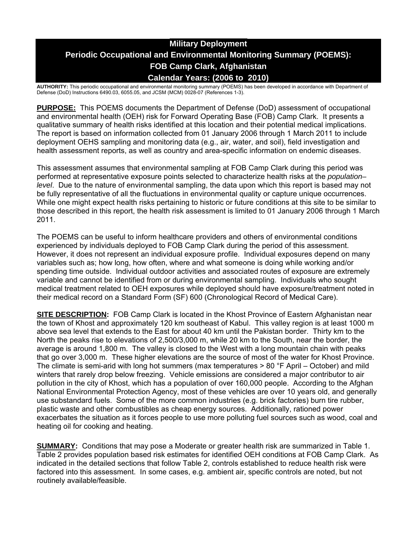# **Military Deployment Periodic Occupational and Environmental Monitoring Summary (POEMS): FOB Camp Clark, Afghanistan Calendar Years: (2006 to 2010)**

**AUTHORITY:** This periodic occupational and environmental monitoring summary (POEMS) has been developed in accordance with Department of Defense (DoD) Instructions 6490.03, 6055.05, and JCSM (MCM) 0028-07 (References 1-3).

**PURPOSE:** This POEMS documents the Department of Defense (DoD) assessment of occupational and environmental health (OEH) risk for Forward Operating Base (FOB) Camp Clark. It presents a qualitative summary of health risks identified at this location and their potential medical implications. The report is based on information collected from 01 January 2006 through 1 March 2011 to include deployment OEHS sampling and monitoring data (e.g., air, water, and soil), field investigation and health assessment reports, as well as country and area-specific information on endemic diseases.

This assessment assumes that environmental sampling at FOB Camp Clark during this period was performed at representative exposure points selected to characterize health risks at the *population– level*. Due to the nature of environmental sampling, the data upon which this report is based may not be fully representative of all the fluctuations in environmental quality or capture unique occurrences. While one might expect health risks pertaining to historic or future conditions at this site to be similar to those described in this report, the health risk assessment is limited to 01 January 2006 through 1 March 2011.

The POEMS can be useful to inform healthcare providers and others of environmental conditions experienced by individuals deployed to FOB Camp Clark during the period of this assessment. However, it does not represent an individual exposure profile. Individual exposures depend on many variables such as; how long, how often, where and what someone is doing while working and/or spending time outside. Individual outdoor activities and associated routes of exposure are extremely variable and cannot be identified from or during environmental sampling. Individuals who sought medical treatment related to OEH exposures while deployed should have exposure/treatment noted in their medical record on a Standard Form (SF) 600 (Chronological Record of Medical Care).

**SITE DESCRIPTION:** FOB Camp Clark is located in the Khost Province of Eastern Afghanistan near the town of Khost and approximately 120 km southeast of Kabul. This valley region is at least 1000 m above sea level that extends to the East for about 40 km until the Pakistan border. Thirty km to the North the peaks rise to elevations of 2,500/3,000 m, while 20 km to the South, near the border, the average is around 1,800 m. The valley is closed to the West with a long mountain chain with peaks that go over 3,000 m. These higher elevations are the source of most of the water for Khost Province. The climate is semi-arid with long hot summers (max temperatures > 80 °F April – October) and mild winters that rarely drop below freezing. Vehicle emissions are considered a major contributor to air pollution in the city of Khost, which has a population of over 160,000 people. According to the Afghan National Environmental Protection Agency, most of these vehicles are over 10 years old, and generally use substandard fuels. Some of the more common industries (e.g. brick factories) burn tire rubber, plastic waste and other combustibles as cheap energy sources. Additionally, rationed power exacerbates the situation as it forces people to use more polluting fuel sources such as wood, coal and heating oil for cooking and heating.

**SUMMARY:** Conditions that may pose a Moderate or greater health risk are summarized in Table 1. Table 2 provides population based risk estimates for identified OEH conditions at FOB Camp Clark. As indicated in the detailed sections that follow Table 2, controls established to reduce health risk were factored into this assessment. In some cases, e.g. ambient air, specific controls are noted, but not routinely available/feasible.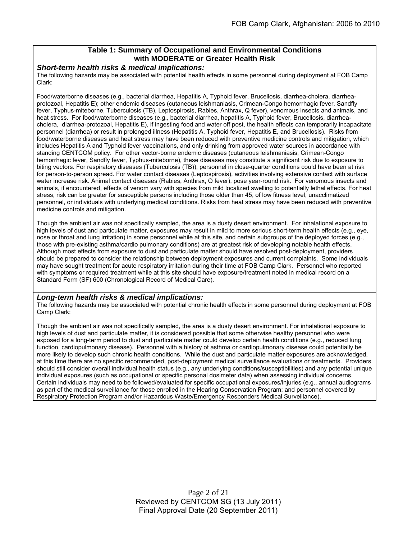## **Table 1: Summary of Occupational and Environmental Conditions with MODERATE or Greater Health Risk**

#### *Short-term health risks & medical implications:*

The following hazards may be associated with potential health effects in some personnel during deployment at FOB Camp Clark:

Food/waterborne diseases (e.g., bacterial diarrhea, Hepatitis A, Typhoid fever, Brucellosis, diarrhea-cholera, diarrheaprotozoal, Hepatitis E); other endemic diseases (cutaneous leishmaniasis, Crimean-Congo hemorrhagic fever, Sandfly fever, Typhus-miteborne, Tuberculosis (TB), Leptospirosis, Rabies, Anthrax, Q fever), venomous insects and animals, and heat stress. For food/waterborne diseases (e.g., bacterial diarrhea, hepatitis A, Typhoid fever, Brucellosis, diarrheacholera, diarrhea-protozoal, Hepatitis E), if ingesting food and water off post, the health effects can temporarily incapacitate personnel (diarrhea) or result in prolonged illness (Hepatitis A, Typhoid fever, Hepatitis E, and Brucellosis). Risks from food/waterborne diseases and heat stress may have been reduced with preventive medicine controls and mitigation, which includes Hepatitis A and Typhoid fever vaccinations, and only drinking from approved water sources in accordance with standing CENTCOM policy. For other vector-borne endemic diseases (cutaneous leishmaniasis, Crimean-Congo hemorrhagic fever, Sandfly fever, Typhus-miteborne), these diseases may constitute a significant risk due to exposure to biting vectors. For respiratory diseases (Tuberculosis (TB)), personnel in close-quarter conditions could have been at risk for person-to-person spread. For water contact diseases (Leptospirosis), activities involving extensive contact with surface water increase risk. Animal contact diseases (Rabies, Anthrax, Q fever), pose year-round risk. For venomous insects and animals, if encountered, effects of venom vary with species from mild localized swelling to potentially lethal effects. For heat stress, risk can be greater for susceptible persons including those older than 45, of low fitness level, unacclimatized personnel, or individuals with underlying medical conditions. Risks from heat stress may have been reduced with preventive medicine controls and mitigation.

Though the ambient air was not specifically sampled, the area is a dusty desert environment. For inhalational exposure to high levels of dust and particulate matter, exposures may result in mild to more serious short-term health effects (e.g., eye, nose or throat and lung irritation) in some personnel while at this site, and certain subgroups of the deployed forces (e.g., those with pre-existing asthma/cardio pulmonary conditions) are at greatest risk of developing notable health effects. Although most effects from exposure to dust and particulate matter should have resolved post-deployment, providers should be prepared to consider the relationship between deployment exposures and current complaints. Some individuals may have sought treatment for acute respiratory irritation during their time at FOB Camp Clark. Personnel who reported with symptoms or required treatment while at this site should have exposure/treatment noted in medical record on a Standard Form (SF) 600 (Chronological Record of Medical Care).

#### *Long-term health risks & medical implications:*

The following hazards may be associated with potential chronic health effects in some personnel during deployment at FOB Camp Clark:

Though the ambient air was not specifically sampled, the area is a dusty desert environment. For inhalational exposure to high levels of dust and particulate matter, it is considered possible that some otherwise healthy personnel who were exposed for a long-term period to dust and particulate matter could develop certain health conditions (e.g., reduced lung function, cardiopulmonary disease). Personnel with a history of asthma or cardiopulmonary disease could potentially be more likely to develop such chronic health conditions. While the dust and particulate matter exposures are acknowledged, at this time there are no specific recommended, post-deployment medical surveillance evaluations or treatments. Providers should still consider overall individual health status (e.g., any underlying conditions/susceptibilities) and any potential unique individual exposures (such as occupational or specific personal dosimeter data) when assessing individual concerns. Certain individuals may need to be followed/evaluated for specific occupational exposures/injuries (e.g., annual audiograms as part of the medical surveillance for those enrolled in the Hearing Conservation Program; and personnel covered by Respiratory Protection Program and/or Hazardous Waste/Emergency Responders Medical Surveillance).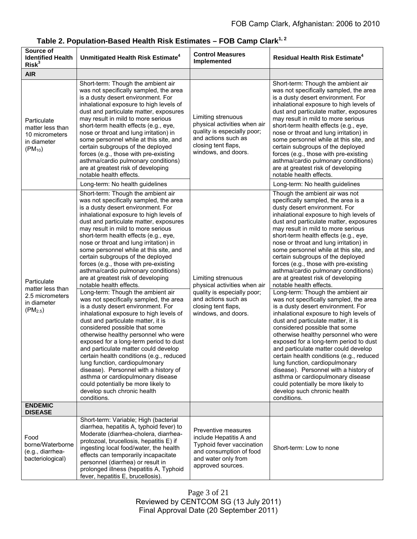| Source of<br><b>Identified Health</b><br>Risk <sup>3</sup>                        | Unmitigated Health Risk Estimate <sup>4</sup>                                                                                                                                                                                                                                                                                                                                                                                                                                                                                                                                                                                                                                                                                                                                                                                                                                                                                                                                                                                                                                                                                                                                      | <b>Control Measures</b><br>Implemented                                                                                                                 | Residual Health Risk Estimate <sup>4</sup>                                                                                                                                                                                                                                                                                                                                                                                                                                                                                                                                                                                                                                                                                                                                                                                                                                                                                                                                                                                                                                                                                                                             |
|-----------------------------------------------------------------------------------|------------------------------------------------------------------------------------------------------------------------------------------------------------------------------------------------------------------------------------------------------------------------------------------------------------------------------------------------------------------------------------------------------------------------------------------------------------------------------------------------------------------------------------------------------------------------------------------------------------------------------------------------------------------------------------------------------------------------------------------------------------------------------------------------------------------------------------------------------------------------------------------------------------------------------------------------------------------------------------------------------------------------------------------------------------------------------------------------------------------------------------------------------------------------------------|--------------------------------------------------------------------------------------------------------------------------------------------------------|------------------------------------------------------------------------------------------------------------------------------------------------------------------------------------------------------------------------------------------------------------------------------------------------------------------------------------------------------------------------------------------------------------------------------------------------------------------------------------------------------------------------------------------------------------------------------------------------------------------------------------------------------------------------------------------------------------------------------------------------------------------------------------------------------------------------------------------------------------------------------------------------------------------------------------------------------------------------------------------------------------------------------------------------------------------------------------------------------------------------------------------------------------------------|
| <b>AIR</b>                                                                        |                                                                                                                                                                                                                                                                                                                                                                                                                                                                                                                                                                                                                                                                                                                                                                                                                                                                                                                                                                                                                                                                                                                                                                                    |                                                                                                                                                        |                                                                                                                                                                                                                                                                                                                                                                                                                                                                                                                                                                                                                                                                                                                                                                                                                                                                                                                                                                                                                                                                                                                                                                        |
| Particulate<br>matter less than<br>10 micrometers<br>in diameter<br>$(PM_{10})$   | Short-term: Though the ambient air<br>was not specifically sampled, the area<br>is a dusty desert environment. For<br>inhalational exposure to high levels of<br>dust and particulate matter, exposures<br>may result in mild to more serious<br>short-term health effects (e.g., eye,<br>nose or throat and lung irritation) in<br>some personnel while at this site, and<br>certain subgroups of the deployed<br>forces (e.g., those with pre-existing<br>asthma/cardio pulmonary conditions)<br>are at greatest risk of developing<br>notable health effects.                                                                                                                                                                                                                                                                                                                                                                                                                                                                                                                                                                                                                   | Limiting strenuous<br>physical activities when air<br>quality is especially poor;<br>and actions such as<br>closing tent flaps,<br>windows, and doors. | Short-term: Though the ambient air<br>was not specifically sampled, the area<br>is a dusty desert environment. For<br>inhalational exposure to high levels of<br>dust and particulate matter, exposures<br>may result in mild to more serious<br>short-term health effects (e.g., eye,<br>nose or throat and lung irritation) in<br>some personnel while at this site, and<br>certain subgroups of the deployed<br>forces (e.g., those with pre-existing<br>asthma/cardio pulmonary conditions)<br>are at greatest risk of developing<br>notable health effects.                                                                                                                                                                                                                                                                                                                                                                                                                                                                                                                                                                                                       |
|                                                                                   | Long-term: No health guidelines                                                                                                                                                                                                                                                                                                                                                                                                                                                                                                                                                                                                                                                                                                                                                                                                                                                                                                                                                                                                                                                                                                                                                    |                                                                                                                                                        | Long-term: No health guidelines                                                                                                                                                                                                                                                                                                                                                                                                                                                                                                                                                                                                                                                                                                                                                                                                                                                                                                                                                                                                                                                                                                                                        |
| Particulate<br>matter less than<br>2.5 micrometers<br>in diameter<br>$(PM_{2.5})$ | Short-term: Though the ambient air<br>was not specifically sampled, the area<br>is a dusty desert environment. For<br>inhalational exposure to high levels of<br>dust and particulate matter, exposures<br>may result in mild to more serious<br>short-term health effects (e.g., eye,<br>nose or throat and lung irritation) in<br>some personnel while at this site, and<br>certain subgroups of the deployed<br>forces (e.g., those with pre-existing<br>asthma/cardio pulmonary conditions)<br>are at greatest risk of developing<br>notable health effects.<br>Long-term: Though the ambient air<br>was not specifically sampled, the area<br>is a dusty desert environment. For<br>inhalational exposure to high levels of<br>dust and particulate matter, it is<br>considered possible that some<br>otherwise healthy personnel who were<br>exposed for a long-term period to dust<br>and particulate matter could develop<br>certain health conditions (e.g., reduced<br>lung function, cardiopulmonary<br>disease). Personnel with a history of<br>asthma or cardiopulmonary disease<br>could potentially be more likely to<br>develop such chronic health<br>conditions. | Limiting strenuous<br>physical activities when air<br>quality is especially poor;<br>and actions such as<br>closing tent flaps,<br>windows, and doors. | Though the ambient air was not<br>specifically sampled, the area is a<br>dusty desert environment. For<br>inhalational exposure to high levels of<br>dust and particulate matter, exposures<br>may result in mild to more serious<br>short-term health effects (e.g., eye,<br>nose or throat and lung irritation) in<br>some personnel while at this site, and<br>certain subgroups of the deployed<br>forces (e.g., those with pre-existing<br>asthma/cardio pulmonary conditions)<br>are at greatest risk of developing<br>notable health effects.<br>Long-term: Though the ambient air<br>was not specifically sampled, the area<br>is a dusty desert environment. For<br>inhalational exposure to high levels of<br>dust and particulate matter, it is<br>considered possible that some<br>otherwise healthy personnel who were<br>exposed for a long-term period to dust<br>and particulate matter could develop<br>certain health conditions (e.g., reduced<br>lung function, cardiopulmonary<br>disease). Personnel with a history of<br>asthma or cardiopulmonary disease<br>could potentially be more likely to<br>develop such chronic health<br>conditions. |
| <b>ENDEMIC</b><br><b>DISEASE</b>                                                  |                                                                                                                                                                                                                                                                                                                                                                                                                                                                                                                                                                                                                                                                                                                                                                                                                                                                                                                                                                                                                                                                                                                                                                                    |                                                                                                                                                        |                                                                                                                                                                                                                                                                                                                                                                                                                                                                                                                                                                                                                                                                                                                                                                                                                                                                                                                                                                                                                                                                                                                                                                        |
| Food<br>borne/Waterborne<br>(e.g., diarrhea-<br>bacteriological)                  | Short-term: Variable; High (bacterial<br>diarrhea, hepatitis A, typhoid fever) to<br>Moderate (diarrhea-cholera, diarrhea-<br>protozoal, brucellosis, hepatitis E) if<br>ingesting local food/water, the health<br>effects can temporarily incapacitate<br>personnel (diarrhea) or result in<br>prolonged illness (hepatitis A, Typhoid<br>fever, hepatitis E, brucellosis).                                                                                                                                                                                                                                                                                                                                                                                                                                                                                                                                                                                                                                                                                                                                                                                                       | Preventive measures<br>include Hepatitis A and<br>Typhoid fever vaccination<br>and consumption of food<br>and water only from<br>approved sources.     | Short-term: Low to none                                                                                                                                                                                                                                                                                                                                                                                                                                                                                                                                                                                                                                                                                                                                                                                                                                                                                                                                                                                                                                                                                                                                                |

| Table 2. Population-Based Health Risk Estimates – FOB Camp Clark $^{1,\,2}$ |  |  |  |
|-----------------------------------------------------------------------------|--|--|--|
|-----------------------------------------------------------------------------|--|--|--|

Page 3 of 21 Reviewed by CENTCOM SG (13 July 2011) Final Approval Date (20 September 2011)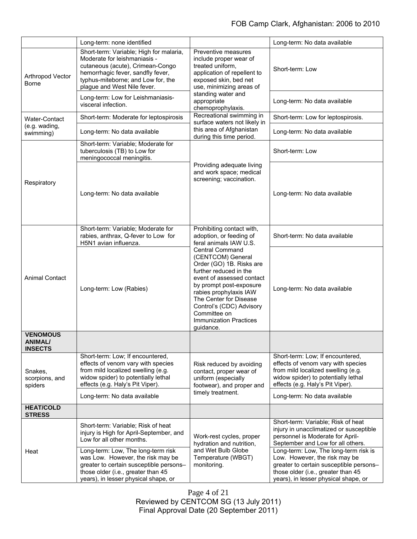|                                                     | Long-term: none identified                                                                                                                                                                                            |                                                                                                                                                                                                                                                                                                                                                                                           | Long-term: No data available                                                                                                                                                                    |
|-----------------------------------------------------|-----------------------------------------------------------------------------------------------------------------------------------------------------------------------------------------------------------------------|-------------------------------------------------------------------------------------------------------------------------------------------------------------------------------------------------------------------------------------------------------------------------------------------------------------------------------------------------------------------------------------------|-------------------------------------------------------------------------------------------------------------------------------------------------------------------------------------------------|
| Arthropod Vector<br><b>Borne</b>                    | Short-term: Variable; High for malaria,<br>Moderate for leishmaniasis -<br>cutaneous (acute), Crimean-Congo<br>hemorrhagic fever, sandfly fever,<br>typhus-miteborne; and Low for, the<br>plague and West Nile fever. | Preventive measures<br>include proper wear of<br>treated uniform,<br>application of repellent to<br>exposed skin, bed net<br>use, minimizing areas of                                                                                                                                                                                                                                     | Short-term: Low                                                                                                                                                                                 |
|                                                     | Long-term: Low for Leishmaniasis-<br>visceral infection.                                                                                                                                                              | standing water and<br>appropriate<br>chemoprophylaxis.                                                                                                                                                                                                                                                                                                                                    | Long-term: No data available                                                                                                                                                                    |
| <b>Water-Contact</b>                                | Short-term: Moderate for leptospirosis                                                                                                                                                                                | Recreational swimming in<br>surface waters not likely in                                                                                                                                                                                                                                                                                                                                  | Short-term: Low for leptospirosis.                                                                                                                                                              |
| (e.g. wading,<br>swimming)                          | Long-term: No data available                                                                                                                                                                                          | this area of Afghanistan<br>during this time period.                                                                                                                                                                                                                                                                                                                                      | Long-term: No data available                                                                                                                                                                    |
| Respiratory                                         | Short-term: Variable; Moderate for<br>tuberculosis (TB) to Low for<br>meningococcal meningitis.                                                                                                                       |                                                                                                                                                                                                                                                                                                                                                                                           | Short-term: Low                                                                                                                                                                                 |
|                                                     | Long-term: No data available                                                                                                                                                                                          | Providing adequate living<br>and work space; medical<br>screening; vaccination.                                                                                                                                                                                                                                                                                                           | Long-term: No data available                                                                                                                                                                    |
| <b>Animal Contact</b>                               | Short-term: Variable; Moderate for<br>rabies, anthrax, Q-fever to Low for<br>H5N1 avian influenza.                                                                                                                    | Prohibiting contact with,<br>adoption, or feeding of<br>feral animals IAW U.S.<br><b>Central Command</b><br>(CENTCOM) General<br>Order (GO) 1B. Risks are<br>further reduced in the<br>event of assessed contact<br>by prompt post-exposure<br>rabies prophylaxis IAW<br>The Center for Disease<br>Control's (CDC) Advisory<br>Committee on<br><b>Immunization Practices</b><br>guidance. | Short-term: No data available                                                                                                                                                                   |
|                                                     | Long-term: Low (Rabies)                                                                                                                                                                                               |                                                                                                                                                                                                                                                                                                                                                                                           | Long-term: No data available                                                                                                                                                                    |
| <b>VENOMOUS</b><br><b>ANIMAL/</b><br><b>INSECTS</b> |                                                                                                                                                                                                                       |                                                                                                                                                                                                                                                                                                                                                                                           |                                                                                                                                                                                                 |
| Snakes,<br>scorpions, and<br>spiders                | Short-term: Low; If encountered,<br>effects of venom vary with species<br>from mild localized swelling (e.g.<br>widow spider) to potentially lethal<br>effects (e.g. Haly's Pit Viper).                               | Risk reduced by avoiding<br>contact, proper wear of<br>uniform (especially<br>footwear), and proper and                                                                                                                                                                                                                                                                                   | Short-term: Low; If encountered,<br>effects of venom vary with species<br>from mild localized swelling (e.g.<br>widow spider) to potentially lethal<br>effects (e.g. Haly's Pit Viper).         |
|                                                     | Long-term: No data available                                                                                                                                                                                          | timely treatment.                                                                                                                                                                                                                                                                                                                                                                         | Long-term: No data available                                                                                                                                                                    |
| <b>HEAT/COLD</b><br><b>STRESS</b>                   |                                                                                                                                                                                                                       |                                                                                                                                                                                                                                                                                                                                                                                           |                                                                                                                                                                                                 |
| Heat                                                | Short-term: Variable; Risk of heat<br>injury is High for April-September, and<br>Low for all other months.                                                                                                            | Work-rest cycles, proper<br>hydration and nutrition,                                                                                                                                                                                                                                                                                                                                      | Short-term: Variable; Risk of heat<br>injury in unacclimatized or susceptible<br>personnel is Moderate for April-<br>September and Low for all others.                                          |
|                                                     | Long-term: Low, The long-term risk<br>was Low. However, the risk may be<br>greater to certain susceptible persons-<br>those older (i.e., greater than 45<br>years), in lesser physical shape, or                      | and Wet Bulb Globe<br>Temperature (WBGT)<br>monitoring.                                                                                                                                                                                                                                                                                                                                   | Long-term: Low, The long-term risk is<br>Low. However, the risk may be<br>greater to certain susceptible persons-<br>those older (i.e., greater than 45<br>years), in lesser physical shape, or |

Page 4 of 21 Reviewed by CENTCOM SG (13 July 2011) Final Approval Date (20 September 2011)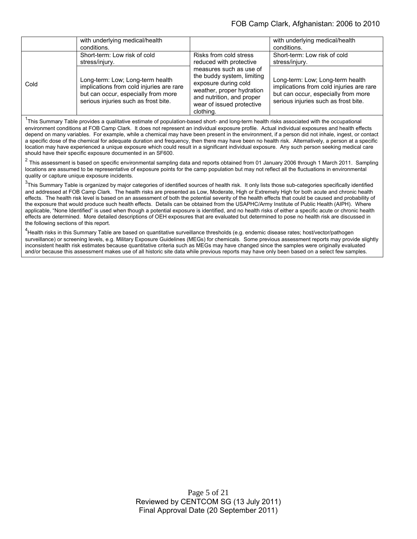|      | with underlying medical/health                                                                                                                                                                                                                                                                                                                   |                                                                                                                                                             | with underlying medical/health |
|------|--------------------------------------------------------------------------------------------------------------------------------------------------------------------------------------------------------------------------------------------------------------------------------------------------------------------------------------------------|-------------------------------------------------------------------------------------------------------------------------------------------------------------|--------------------------------|
|      | conditions.                                                                                                                                                                                                                                                                                                                                      |                                                                                                                                                             | conditions.                    |
|      | Short-term: Low risk of cold                                                                                                                                                                                                                                                                                                                     | Risks from cold stress                                                                                                                                      | Short-term: Low risk of cold   |
|      | stress/injury.                                                                                                                                                                                                                                                                                                                                   | reduced with protective                                                                                                                                     | stress/injury.                 |
| Cold | measures such as use of<br>the buddy system, limiting<br>Long-term: Low; Long-term health<br>exposure during cold<br>implications from cold injuries are rare<br>weather, proper hydration<br>but can occur, especially from more<br>and nutrition, and proper<br>serious injuries such as frost bite.<br>wear of issued protective<br>clothing. | Long-term: Low; Long-term health<br>implications from cold injuries are rare<br>but can occur, especially from more<br>serious injuries such as frost bite. |                                |

<sup>1</sup>This Summary Table provides a qualitative estimate of population-based short- and long-term health risks associated with the occupational environment conditions at FOB Camp Clark. It does not represent an individual exposure profile. Actual individual exposures and health effects depend on many variables. For example, while a chemical may have been present in the environment, if a person did not inhale, ingest, or contact a specific dose of the chemical for adequate duration and frequency, then there may have been no health risk. Alternatively, a person at a specific location may have experienced a unique exposure which could result in a significant individual exposure. Any such person seeking medical care should have their specific exposure documented in an SF600.

<sup>2</sup> This assessment is based on specific environmental sampling data and reports obtained from 01 January 2006 through 1 March 2011. Sampling locations are assumed to be representative of exposure points for the camp population but may not reflect all the fluctuations in environmental quality or capture unique exposure incidents.

 $3$ This Summary Table is organized by major categories of identified sources of health risk. It only lists those sub-categories specifically identified and addressed at FOB Camp Clark. The health risks are presented as Low, Moderate, High or Extremely High for both acute and chronic health effects. The health risk level is based on an assessment of both the potential severity of the health effects that could be caused and probability of the exposure that would produce such health effects. Details can be obtained from the USAPHC/Army Institute of Public Health (AIPH). Where applicable, "None Identified" is used when though a potential exposure is identified, and no health risks of either a specific acute or chronic health effects are determined. More detailed descriptions of OEH exposures that are evaluated but determined to pose no health risk are discussed in the following sections of this report.

<sup>4</sup>Health risks in this Summary Table are based on quantitative surveillance thresholds (e.g. endemic disease rates; host/vector/pathogen surveillance) or screening levels, e.g. Military Exposure Guidelines (MEGs) for chemicals*.* Some previous assessment reports may provide slightly inconsistent health risk estimates because quantitative criteria such as MEGs may have changed since the samples were originally evaluated and/or because this assessment makes use of all historic site data while previous reports may have only been based on a select few samples.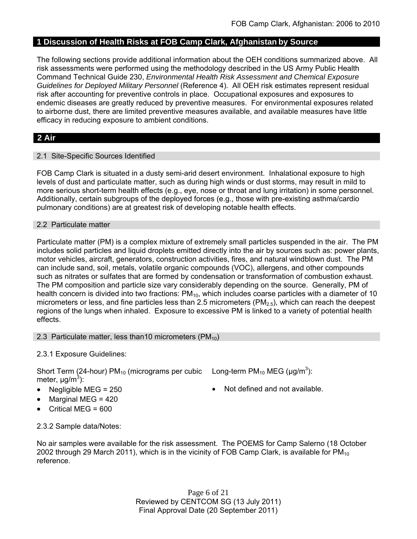## **1 Discussion of Health Risks at FOB Camp Clark, Afghanistan by Source**

The following sections provide additional information about the OEH conditions summarized above. All risk assessments were performed using the methodology described in the US Army Public Health Command Technical Guide 230, *Environmental Health Risk Assessment and Chemical Exposure Guidelines for Deployed Military Personnel* (Reference 4). All OEH risk estimates represent residual risk after accounting for preventive controls in place. Occupational exposures and exposures to endemic diseases are greatly reduced by preventive measures. For environmental exposures related to airborne dust, there are limited preventive measures available, and available measures have little efficacy in reducing exposure to ambient conditions.

## **2 Air**

## 2.1 Site-Specific Sources Identified

FOB Camp Clark is situated in a dusty semi-arid desert environment. Inhalational exposure to high levels of dust and particulate matter, such as during high winds or dust storms, may result in mild to more serious short-term health effects (e.g., eye, nose or throat and lung irritation) in some personnel. Additionally, certain subgroups of the deployed forces (e.g., those with pre-existing asthma/cardio pulmonary conditions) are at greatest risk of developing notable health effects.

#### 2.2 Particulate matter

Particulate matter (PM) is a complex mixture of extremely small particles suspended in the air. The PM includes solid particles and liquid droplets emitted directly into the air by sources such as: power plants, motor vehicles, aircraft, generators, construction activities, fires, and natural windblown dust. The PM can include sand, soil, metals, volatile organic compounds (VOC), allergens, and other compounds such as nitrates or sulfates that are formed by condensation or transformation of combustion exhaust. The PM composition and particle size vary considerably depending on the source. Generally, PM of health concern is divided into two fractions:  $PM_{10}$ , which includes coarse particles with a diameter of 10 micrometers or less, and fine particles less than 2.5 micrometers ( $PM<sub>2.5</sub>$ ), which can reach the deepest regions of the lungs when inhaled. Exposure to excessive PM is linked to a variety of potential health effects.

#### 2.3 Particulate matter, less than10 micrometers  $(PM_{10})$

## 2.3.1 Exposure Guidelines:

Short Term (24-hour) PM<sub>10</sub> (micrograms per cubic Long-term PM<sub>10</sub> MEG ( $\mu$ g/m<sup>3</sup>): meter, μg/m<sup>3</sup>):

- Negligible MEG =  $250$   $\bullet$  Not defined and not available.
- Marginal MEG = 420
- Critical MEG = 600

2.3.2 Sample data/Notes:

No air samples were available for the risk assessment. The POEMS for Camp Salerno (18 October 2002 through 29 March 2011), which is in the vicinity of FOB Camp Clark, is available for  $PM_{10}$ reference.

> Page 6 of 21 Reviewed by CENTCOM SG (13 July 2011) Final Approval Date (20 September 2011)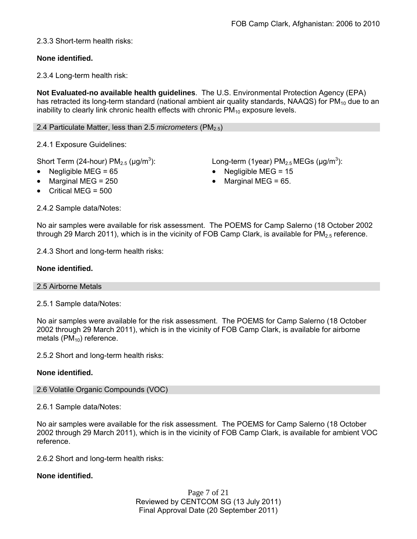## 2.3.3 Short-term health risks:

## **None identified.**

2.3.4 Long-term health risk:

**Not Evaluated-no available health guidelines**. The U.S. Environmental Protection Agency (EPA) has retracted its long-term standard (national ambient air quality standards, NAAQS) for  $PM_{10}$  due to an inability to clearly link chronic health effects with chronic  $PM_{10}$  exposure levels.

## 2.4 Particulate Matter, less than 2.5 *micrometers* (PM<sub>2.5</sub>)

2.4.1 Exposure Guidelines:

Short Term (24-hour)  $PM_{2.5}$  ( $\mu$ g/m<sup>3</sup>):

- 
- 
- Critical MEG = 500

): Long-term (1year)  $PM_{2.5}$  MEGs ( $\mu$ g/m<sup>3</sup>):

- Negligible MEG = 65 Negligible MEG = 15
	- Marginal MEG =  $250$   $\bullet$  Marginal MEG =  $65$ .

2.4.2 Sample data/Notes:

No air samples were available for risk assessment. The POEMS for Camp Salerno (18 October 2002 through 29 March 2011), which is in the vicinity of FOB Camp Clark, is available for  $PM_{2.5}$  reference.

2.4.3 Short and long-term health risks:

## **None identified.**

#### 2.5 Airborne Metals

2.5.1 Sample data/Notes:

No air samples were available for the risk assessment. The POEMS for Camp Salerno (18 October 2002 through 29 March 2011), which is in the vicinity of FOB Camp Clark, is available for airborne metals  $(PM_{10})$  reference.

2.5.2 Short and long-term health risks:

## **None identified.**

## 2.6 Volatile Organic Compounds (VOC)

2.6.1 Sample data/Notes:

No air samples were available for the risk assessment. The POEMS for Camp Salerno (18 October 2002 through 29 March 2011), which is in the vicinity of FOB Camp Clark, is available for ambient VOC reference.

2.6.2 Short and long-term health risks:

## **None identified.**

Page 7 of 21 Reviewed by CENTCOM SG (13 July 2011) Final Approval Date (20 September 2011)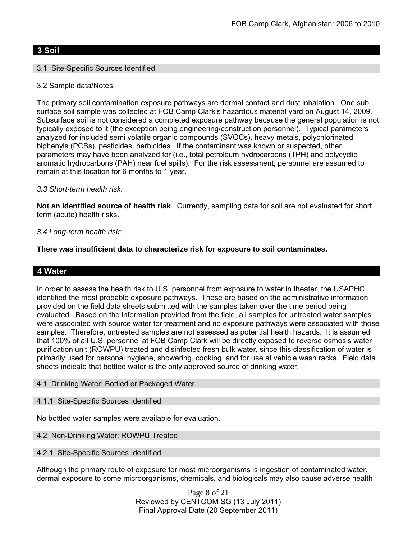## **3 Soil**

## 3.1 Site-Specific Sources Identified

3.2 Sample data/Notes:

The primary soil contamination exposure pathways are dermal contact and dust inhalation. One sub surface soil sample was collected at FOB Camp Clark's hazardous material yard on August 14, 2009. Subsurface soil is not considered a completed exposure pathway because the general population is not typically exposed to it (the exception being engineering/construction personnel). Typical parameters analyzed for included semi volatile organic compounds (SVOCs), heavy metals, polychlorinated biphenyls (PCBs), pesticides, herbicides. If the contaminant was known or suspected, other parameters may have been analyzed for (i.e., total petroleum hydrocarbons (TPH) and polycyclic aromatic hydrocarbons (PAH) near fuel spills). For the risk assessment, personnel are assumed to remain at this location for 6 months to 1 year.

## *3.3 Short-term health risk:*

**Not an identified source of health risk**. Currently, sampling data for soil are not evaluated for short term (acute) health risks**.**

## *3.4 Long-term health risk:*

**There was insufficient data to characterize risk for exposure to soil contaminates.**

## **4 Water**

In order to assess the health risk to U.S. personnel from exposure to water in theater, the USAPHC identified the most probable exposure pathways. These are based on the administrative information provided on the field data sheets submitted with the samples taken over the time period being evaluated. Based on the information provided from the field, all samples for untreated water samples were associated with source water for treatment and no exposure pathways were associated with those samples. Therefore, untreated samples are not assessed as potential health hazards. It is assumed that 100% of all U.S. personnel at FOB Camp Clark will be directly exposed to reverse osmosis water purification unit (ROWPU) treated and disinfected fresh bulk water, since this classification of water is primarily used for personal hygiene, showering, cooking, and for use at vehicle wash racks. Field data sheets indicate that bottled water is the only approved source of drinking water.

#### 4.1 Drinking Water: Bottled or Packaged Water

#### 4.1.1 Site-Specific Sources Identified

No bottled water samples were available for evaluation.

#### 4.2 Non-Drinking Water: ROWPU Treated

#### 4.2.1 Site-Specific Sources Identified

Although the primary route of exposure for most microorganisms is ingestion of contaminated water, dermal exposure to some microorganisms, chemicals, and biologicals may also cause adverse health

> Page 8 of 21 Reviewed by CENTCOM SG (13 July 2011) Final Approval Date (20 September 2011)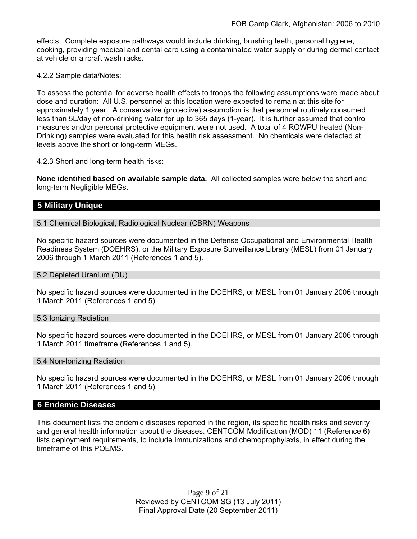effects. Complete exposure pathways would include drinking, brushing teeth, personal hygiene, cooking, providing medical and dental care using a contaminated water supply or during dermal contact at vehicle or aircraft wash racks.

4.2.2 Sample data/Notes:

To assess the potential for adverse health effects to troops the following assumptions were made about dose and duration: All U.S. personnel at this location were expected to remain at this site for approximately 1 year. A conservative (protective) assumption is that personnel routinely consumed less than 5L/day of non-drinking water for up to 365 days (1-year). It is further assumed that control measures and/or personal protective equipment were not used. A total of 4 ROWPU treated (Non-Drinking) samples were evaluated for this health risk assessment. No chemicals were detected at levels above the short or long-term MEGs.

4.2.3 Short and long-term health risks:

**None identified based on available sample data.** All collected samples were below the short and long-term Negligible MEGs.

## **5 Military Unique**

5.1 Chemical Biological, Radiological Nuclear (CBRN) Weapons

No specific hazard sources were documented in the Defense Occupational and Environmental Health Readiness System (DOEHRS), or the Military Exposure Surveillance Library (MESL) from 01 January 2006 through 1 March 2011 (References 1 and 5).

#### 5.2 Depleted Uranium (DU)

No specific hazard sources were documented in the DOEHRS, or MESL from 01 January 2006 through 1 March 2011 (References 1 and 5).

#### 5.3 Ionizing Radiation

No specific hazard sources were documented in the DOEHRS, or MESL from 01 January 2006 through 1 March 2011 timeframe (References 1 and 5).

#### 5.4 Non-Ionizing Radiation

No specific hazard sources were documented in the DOEHRS, or MESL from 01 January 2006 through 1 March 2011 (References 1 and 5).

#### **6 Endemic Diseases**

This document lists the endemic diseases reported in the region, its specific health risks and severity and general health information about the diseases. CENTCOM Modification (MOD) 11 (Reference 6) lists deployment requirements, to include immunizations and chemoprophylaxis, in effect during the timeframe of this POEMS.

> Page 9 of 21 Reviewed by CENTCOM SG (13 July 2011) Final Approval Date (20 September 2011)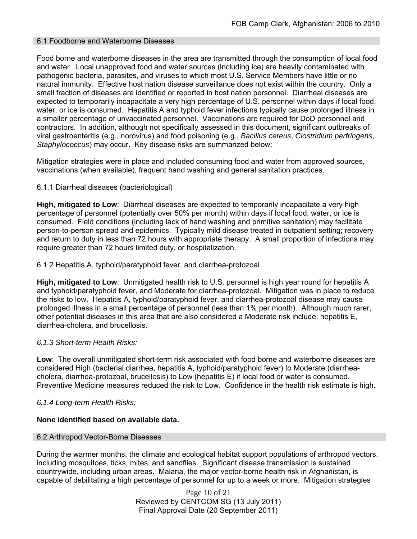## 6.1 Foodborne and Waterborne Diseases

Food borne and waterborne diseases in the area are transmitted through the consumption of local food and water. Local unapproved food and water sources (including ice) are heavily contaminated with pathogenic bacteria, parasites, and viruses to which most U.S. Service Members have little or no natural immunity. Effective host nation disease surveillance does not exist within the country. Only a small fraction of diseases are identified or reported in host nation personnel. Diarrheal diseases are expected to temporarily incapacitate a very high percentage of U.S. personnel within days if local food, water, or ice is consumed. Hepatitis A and typhoid fever infections typically cause prolonged illness in a smaller percentage of unvaccinated personnel. Vaccinations are required for DoD personnel and contractors. In addition, although not specifically assessed in this document, significant outbreaks of viral gastroenteritis (e.g., norovirus) and food poisoning (e.g., *Bacillus cereus*, *Clostridium perfringens*, *Staphylococcus*) may occur. Key disease risks are summarized below:

Mitigation strategies were in place and included consuming food and water from approved sources, vaccinations (when available), frequent hand washing and general sanitation practices.

## 6.1.1 Diarrheal diseases (bacteriological)

**High, mitigated to Low**: Diarrheal diseases are expected to temporarily incapacitate a very high percentage of personnel (potentially over 50% per month) within days if local food, water, or ice is consumed. Field conditions (including lack of hand washing and primitive sanitation) may facilitate person-to-person spread and epidemics. Typically mild disease treated in outpatient setting; recovery and return to duty in less than 72 hours with appropriate therapy. A small proportion of infections may require greater than 72 hours limited duty, or hospitalization.

#### 6.1.2 Hepatitis A, typhoid/paratyphoid fever, and diarrhea-protozoal

**High, mitigated to Low**: Unmitigated health risk to U.S. personnel is high year round for hepatitis A and typhoid/paratyphoid fever, and Moderate for diarrhea-protozoal. Mitigation was in place to reduce the risks to low. Hepatitis A, typhoid/paratyphoid fever, and diarrhea-protozoal disease may cause prolonged illness in a small percentage of personnel (less than 1% per month). Although much rarer, other potential diseases in this area that are also considered a Moderate risk include: hepatitis E, diarrhea-cholera, and brucellosis.

#### *6.1.3 Short-term Health Risks:*

**Low**: The overall unmitigated short-term risk associated with food borne and waterborne diseases are considered High (bacterial diarrhea, hepatitis A, typhoid/paratyphoid fever) to Moderate (diarrheacholera, diarrhea-protozoal, brucellosis) to Low (hepatitis E) if local food or water is consumed. Preventive Medicine measures reduced the risk to Low. Confidence in the health risk estimate is high.

#### *6.1.4 Long-term Health Risks:*

#### **None identified based on available data.**

#### 6.2 Arthropod Vector-Borne Diseases

During the warmer months, the climate and ecological habitat support populations of arthropod vectors, including mosquitoes, ticks, mites, and sandflies. Significant disease transmission is sustained countrywide, including urban areas. Malaria, the major vector-borne health risk in Afghanistan, is capable of debilitating a high percentage of personnel for up to a week or more. Mitigation strategies

> Page 10 of 21 Reviewed by CENTCOM SG (13 July 2011) Final Approval Date (20 September 2011)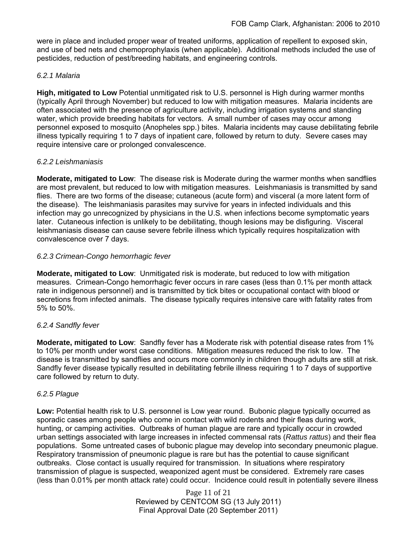were in place and included proper wear of treated uniforms, application of repellent to exposed skin, and use of bed nets and chemoprophylaxis (when applicable). Additional methods included the use of pesticides, reduction of pest/breeding habitats, and engineering controls.

## *6.2.1 Malaria*

**High, mitigated to Low** Potential unmitigated risk to U.S. personnel is High during warmer months (typically April through November) but reduced to low with mitigation measures. Malaria incidents are often associated with the presence of agriculture activity, including irrigation systems and standing water, which provide breeding habitats for vectors. A small number of cases may occur among personnel exposed to mosquito (Anopheles spp.) bites. Malaria incidents may cause debilitating febrile illness typically requiring 1 to 7 days of inpatient care, followed by return to duty. Severe cases may require intensive care or prolonged convalescence.

## *6.2.2 Leishmaniasis*

**Moderate, mitigated to Low**: The disease risk is Moderate during the warmer months when sandflies are most prevalent, but reduced to low with mitigation measures. Leishmaniasis is transmitted by sand flies. There are two forms of the disease; cutaneous (acute form) and visceral (a more latent form of the disease). The leishmaniasis parasites may survive for years in infected individuals and this infection may go unrecognized by physicians in the U.S. when infections become symptomatic years later. Cutaneous infection is unlikely to be debilitating, though lesions may be disfiguring. Visceral leishmaniasis disease can cause severe febrile illness which typically requires hospitalization with convalescence over 7 days.

## *6.2.3 Crimean-Congo hemorrhagic fever*

**Moderate, mitigated to Low**: Unmitigated risk is moderate, but reduced to low with mitigation measures. Crimean-Congo hemorrhagic fever occurs in rare cases (less than 0.1% per month attack rate in indigenous personnel) and is transmitted by tick bites or occupational contact with blood or secretions from infected animals. The disease typically requires intensive care with fatality rates from 5% to 50%.

## *6.2.4 Sandfly fever*

**Moderate, mitigated to Low**: Sandfly fever has a Moderate risk with potential disease rates from 1% to 10% per month under worst case conditions. Mitigation measures reduced the risk to low. The disease is transmitted by sandflies and occurs more commonly in children though adults are still at risk. Sandfly fever disease typically resulted in debilitating febrile illness requiring 1 to 7 days of supportive care followed by return to duty.

## *6.2.5 Plague*

**Low:** Potential health risk to U.S. personnel is Low year round. Bubonic plague typically occurred as sporadic cases among people who come in contact with wild rodents and their fleas during work, hunting, or camping activities. Outbreaks of human plague are rare and typically occur in crowded urban settings associated with large increases in infected commensal rats (*Rattus rattus*) and their flea populations. Some untreated cases of bubonic plague may develop into secondary pneumonic plague. Respiratory transmission of pneumonic plague is rare but has the potential to cause significant outbreaks. Close contact is usually required for transmission. In situations where respiratory transmission of plague is suspected, weaponized agent must be considered. Extremely rare cases (less than 0.01% per month attack rate) could occur. Incidence could result in potentially severe illness

> Page 11 of 21 Reviewed by CENTCOM SG (13 July 2011) Final Approval Date (20 September 2011)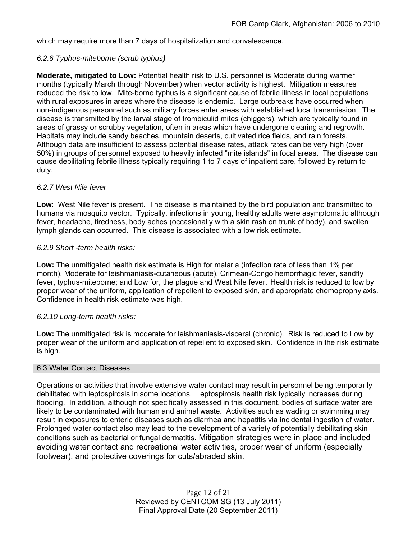which may require more than 7 days of hospitalization and convalescence.

## *6.2.6 Typhus-miteborne (scrub typhus)*

**Moderate, mitigated to Low:** Potential health risk to U.S. personnel is Moderate during warmer months (typically March through November) when vector activity is highest. Mitigation measures reduced the risk to low. Mite-borne typhus is a significant cause of febrile illness in local populations with rural exposures in areas where the disease is endemic. Large outbreaks have occurred when non-indigenous personnel such as military forces enter areas with established local transmission. The disease is transmitted by the larval stage of trombiculid mites (chiggers), which are typically found in areas of grassy or scrubby vegetation, often in areas which have undergone clearing and regrowth. Habitats may include sandy beaches, mountain deserts, cultivated rice fields, and rain forests. Although data are insufficient to assess potential disease rates, attack rates can be very high (over 50%) in groups of personnel exposed to heavily infected "mite islands" in focal areas. The disease can cause debilitating febrile illness typically requiring 1 to 7 days of inpatient care, followed by return to duty.

## *6.2.7 West Nile fever*

**Low**: West Nile fever is present. The disease is maintained by the bird population and transmitted to humans via mosquito vector. Typically, infections in young, healthy adults were asymptomatic although fever, headache, tiredness, body aches (occasionally with a skin rash on trunk of body), and swollen lymph glands can occurred. This disease is associated with a low risk estimate.

## *6.2.9 Short -term health risks:*

**Low:** The unmitigated health risk estimate is High for malaria (infection rate of less than 1% per month), Moderate for leishmaniasis-cutaneous (acute), Crimean-Congo hemorrhagic fever, sandfly fever, typhus-miteborne; and Low for, the plague and West Nile fever. Health risk is reduced to low by proper wear of the uniform, application of repellent to exposed skin, and appropriate chemoprophylaxis. Confidence in health risk estimate was high.

#### *6.2.10 Long-term health risks:*

**Low:** The unmitigated risk is moderate for leishmaniasis-visceral (chronic). Risk is reduced to Low by proper wear of the uniform and application of repellent to exposed skin. Confidence in the risk estimate is high.

#### 6.3 Water Contact Diseases

Operations or activities that involve extensive water contact may result in personnel being temporarily debilitated with leptospirosis in some locations. Leptospirosis health risk typically increases during flooding. In addition, although not specifically assessed in this document, bodies of surface water are likely to be contaminated with human and animal waste. Activities such as wading or swimming may result in exposures to enteric diseases such as diarrhea and hepatitis via incidental ingestion of water. Prolonged water contact also may lead to the development of a variety of potentially debilitating skin conditions such as bacterial or fungal dermatitis. Mitigation strategies were in place and included avoiding water contact and recreational water activities, proper wear of uniform (especially footwear), and protective coverings for cuts/abraded skin.

> Page 12 of 21 Reviewed by CENTCOM SG (13 July 2011) Final Approval Date (20 September 2011)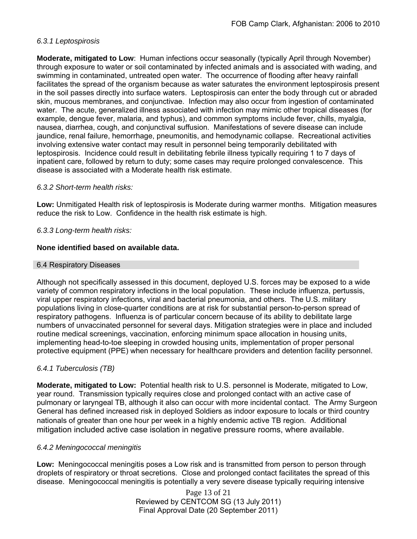## *6.3.1 Leptospirosis*

**Moderate, mitigated to Low**: Human infections occur seasonally (typically April through November) through exposure to water or soil contaminated by infected animals and is associated with wading, and swimming in contaminated, untreated open water. The occurrence of flooding after heavy rainfall facilitates the spread of the organism because as water saturates the environment leptospirosis present in the soil passes directly into surface waters. Leptospirosis can enter the body through cut or abraded skin, mucous membranes, and conjunctivae. Infection may also occur from ingestion of contaminated water. The acute, generalized illness associated with infection may mimic other tropical diseases (for example, dengue fever, malaria, and typhus), and common symptoms include fever, chills, myalgia, nausea, diarrhea, cough, and conjunctival suffusion. Manifestations of severe disease can include jaundice, renal failure, hemorrhage, pneumonitis, and hemodynamic collapse. Recreational activities involving extensive water contact may result in personnel being temporarily debilitated with leptospirosis. Incidence could result in debilitating febrile illness typically requiring 1 to 7 days of inpatient care, followed by return to duty; some cases may require prolonged convalescence. This disease is associated with a Moderate health risk estimate.

## *6.3.2 Short-term health risks:*

**Low:** Unmitigated Health risk of leptospirosis is Moderate during warmer months. Mitigation measures reduce the risk to Low. Confidence in the health risk estimate is high.

## *6.3.3 Long-term health risks:*

## **None identified based on available data.**

#### 6.4 Respiratory Diseases

Although not specifically assessed in this document, deployed U.S. forces may be exposed to a wide variety of common respiratory infections in the local population. These include influenza, pertussis, viral upper respiratory infections, viral and bacterial pneumonia, and others. The U.S. military populations living in close-quarter conditions are at risk for substantial person-to-person spread of respiratory pathogens. Influenza is of particular concern because of its ability to debilitate large numbers of unvaccinated personnel for several days. Mitigation strategies were in place and included routine medical screenings, vaccination, enforcing minimum space allocation in housing units, implementing head-to-toe sleeping in crowded housing units, implementation of proper personal protective equipment (PPE) when necessary for healthcare providers and detention facility personnel.

## *6.4.1 Tuberculosis (TB)*

**Moderate, mitigated to Low:** Potential health risk to U.S. personnel is Moderate, mitigated to Low, year round. Transmission typically requires close and prolonged contact with an active case of pulmonary or laryngeal TB, although it also can occur with more incidental contact. The Army Surgeon General has defined increased risk in deployed Soldiers as indoor exposure to locals or third country nationals of greater than one hour per week in a highly endemic active TB region. Additional mitigation included active case isolation in negative pressure rooms, where available.

#### *6.4.2 Meningococcal meningitis*

**Low:** Meningococcal meningitis poses a Low risk and is transmitted from person to person through droplets of respiratory or throat secretions. Close and prolonged contact facilitates the spread of this disease. Meningococcal meningitis is potentially a very severe disease typically requiring intensive

> Page 13 of 21 Reviewed by CENTCOM SG (13 July 2011) Final Approval Date (20 September 2011)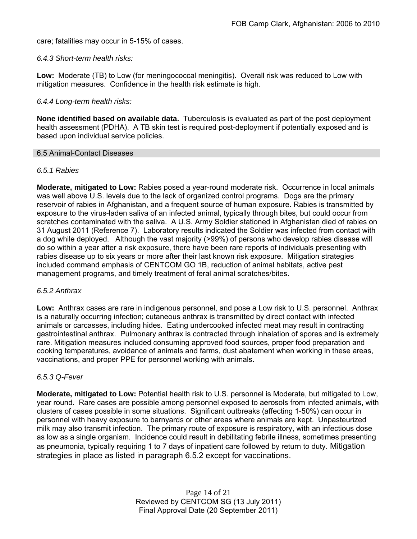care; fatalities may occur in 5-15% of cases.

## *6.4.3 Short-term health risks:*

**Low:** Moderate (TB) to Low (for meningococcal meningitis). Overall risk was reduced to Low with mitigation measures. Confidence in the health risk estimate is high.

## *6.4.4 Long-term health risks:*

**None identified based on available data.** Tuberculosis is evaluated as part of the post deployment health assessment (PDHA). A TB skin test is required post-deployment if potentially exposed and is based upon individual service policies.

#### 6.5 Animal-Contact Diseases

## *6.5.1 Rabies*

**Moderate, mitigated to Low:** Rabies posed a year-round moderate risk. Occurrence in local animals was well above U.S. levels due to the lack of organized control programs. Dogs are the primary reservoir of rabies in Afghanistan, and a frequent source of human exposure. Rabies is transmitted by exposure to the virus-laden saliva of an infected animal, typically through bites, but could occur from scratches contaminated with the saliva. A U.S. Army Soldier stationed in Afghanistan died of rabies on 31 August 2011 (Reference 7). Laboratory results indicated the Soldier was infected from contact with a dog while deployed. Although the vast majority (>99%) of persons who develop rabies disease will do so within a year after a risk exposure, there have been rare reports of individuals presenting with rabies disease up to six years or more after their last known risk exposure. Mitigation strategies included command emphasis of CENTCOM GO 1B, reduction of animal habitats, active pest management programs, and timely treatment of feral animal scratches/bites.

#### *6.5.2 Anthrax*

**Low:** Anthrax cases are rare in indigenous personnel, and pose a Low risk to U.S. personnel. Anthrax is a naturally occurring infection; cutaneous anthrax is transmitted by direct contact with infected animals or carcasses, including hides. Eating undercooked infected meat may result in contracting gastrointestinal anthrax. Pulmonary anthrax is contracted through inhalation of spores and is extremely rare. Mitigation measures included consuming approved food sources, proper food preparation and cooking temperatures, avoidance of animals and farms, dust abatement when working in these areas, vaccinations, and proper PPE for personnel working with animals.

#### *6.5.3 Q-Fever*

**Moderate, mitigated to Low:** Potential health risk to U.S. personnel is Moderate, but mitigated to Low, year round. Rare cases are possible among personnel exposed to aerosols from infected animals, with clusters of cases possible in some situations. Significant outbreaks (affecting 1-50%) can occur in personnel with heavy exposure to barnyards or other areas where animals are kept. Unpasteurized milk may also transmit infection. The primary route of exposure is respiratory, with an infectious dose as low as a single organism. Incidence could result in debilitating febrile illness, sometimes presenting as pneumonia, typically requiring 1 to 7 days of inpatient care followed by return to duty. Mitigation strategies in place as listed in paragraph 6.5.2 except for vaccinations.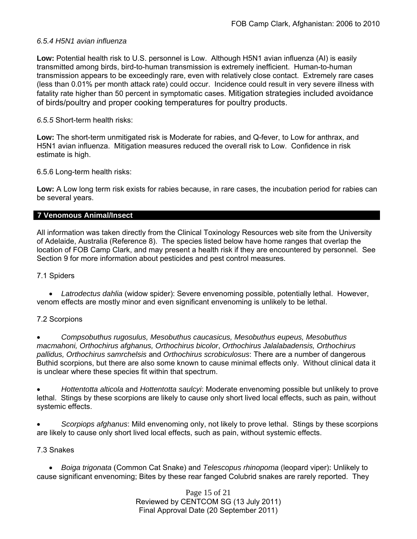## *6.5.4 H5N1 avian influenza*

**Low:** Potential health risk to U.S. personnel is Low. Although H5N1 avian influenza (AI) is easily transmitted among birds, bird-to-human transmission is extremely inefficient. Human-to-human transmission appears to be exceedingly rare, even with relatively close contact. Extremely rare cases (less than 0.01% per month attack rate) could occur. Incidence could result in very severe illness with fatality rate higher than 50 percent in symptomatic cases. Mitigation strategies included avoidance of birds/poultry and proper cooking temperatures for poultry products.

## *6.5.5* Short-term health risks:

**Low:** The short-term unmitigated risk is Moderate for rabies, and Q-fever, to Low for anthrax, and H5N1 avian influenza. Mitigation measures reduced the overall risk to Low.Confidence in risk estimate is high.

6.5.6 Long-term health risks:

**Low:** A Low long term risk exists for rabies because, in rare cases, the incubation period for rabies can be several years.

## **7 Venomous Animal/Insect**

All information was taken directly from the Clinical Toxinology Resources web site from the University of Adelaide, Australia (Reference 8). The species listed below have home ranges that overlap the location of FOB Camp Clark, and may present a health risk if they are encountered by personnel. See Section 9 for more information about pesticides and pest control measures.

#### 7.1 Spiders

 *Latrodectus dahlia* (widow spider): Severe envenoming possible, potentially lethal. However, venom effects are mostly minor and even significant envenoming is unlikely to be lethal.

#### 7.2 Scorpions

 *Compsobuthus rugosulus, Mesobuthus caucasicus, Mesobuthus eupeus, Mesobuthus macmahoni, Orthochirus afghanus, Orthochirus bicolor*, *Orthochirus Jalalabadensis, Orthochirus pallidus, Orthochirus samrchelsis* and *Orthochirus scrobiculosus*: There are a number of dangerous Buthid scorpions, but there are also some known to cause minimal effects only. Without clinical data it is unclear where these species fit within that spectrum.

 *Hottentotta alticola* and *Hottentotta saulcyi*: Moderate envenoming possible but unlikely to prove lethal. Stings by these scorpions are likely to cause only short lived local effects, such as pain, without systemic effects.

 *Scorpiops afghanus*: Mild envenoming only, not likely to prove lethal. Stings by these scorpions are likely to cause only short lived local effects, such as pain, without systemic effects.

#### 7.3 Snakes

 *Boiga trigonata* (Common Cat Snake) and *Telescopus rhinopoma* (leopard viper): Unlikely to cause significant envenoming; Bites by these rear fanged Colubrid snakes are rarely reported. They

> Page 15 of 21 Reviewed by CENTCOM SG (13 July 2011) Final Approval Date (20 September 2011)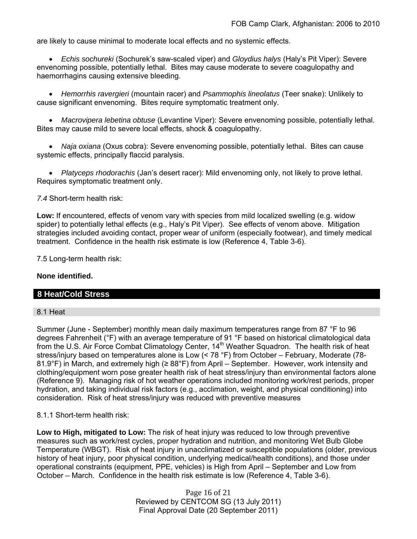are likely to cause minimal to moderate local effects and no systemic effects.

 *Echis sochureki* (Sochurek's saw-scaled viper) and *Gloydius halys* (Haly's Pit Viper): Severe envenoming possible, potentially lethal. Bites may cause moderate to severe coagulopathy and haemorrhagins causing extensive bleeding.

 *Hemorrhis ravergieri* (mountain racer) and *Psammophis lineolatus* (Teer snake): Unlikely to cause significant envenoming. Bites require symptomatic treatment only.

 *Macrovipera lebetina obtuse* (Levantine Viper): Severe envenoming possible, potentially lethal. Bites may cause mild to severe local effects, shock & coagulopathy.

 *Naja oxiana* (Oxus cobra): Severe envenoming possible, potentially lethal. Bites can cause systemic effects, principally flaccid paralysis.

 *Platyceps rhodorachis* (Jan's desert racer): Mild envenoming only, not likely to prove lethal. Requires symptomatic treatment only.

*7.4* Short-term health risk:

**Low:** If encountered, effects of venom vary with species from mild localized swelling (e.g. widow spider) to potentially lethal effects (e.g., Haly's Pit Viper). See effects of venom above. Mitigation strategies included avoiding contact, proper wear of uniform (especially footwear), and timely medical treatment. Confidence in the health risk estimate is low (Reference 4, Table 3-6).

7.5 Long-term health risk:

#### **None identified.**

#### **8 Heat/Cold Stress**

#### 8.1 Heat

Summer (June - September) monthly mean daily maximum temperatures range from 87 °F to 96 degrees Fahrenheit (°F) with an average temperature of 91 °F based on historical climatological data from the U.S. Air Force Combat Climatology Center, 14<sup>th</sup> Weather Squadron. The health risk of heat stress/injury based on temperatures alone is Low (< 78 °F) from October – February, Moderate (78- 81.9°F) in March, and extremely high (≥ 88°F) from April – September. However, work intensity and clothing/equipment worn pose greater health risk of heat stress/injury than environmental factors alone (Reference 9). Managing risk of hot weather operations included monitoring work/rest periods, proper hydration, and taking individual risk factors (e.g., acclimation, weight, and physical conditioning) into consideration. Risk of heat stress/injury was reduced with preventive measures

8.1.1 Short-term health risk:

**Low to High, mitigated to Low:** The risk of heat injury was reduced to low through preventive measures such as work/rest cycles, proper hydration and nutrition, and monitoring Wet Bulb Globe Temperature (WBGT). Risk of heat injury in unacclimatized or susceptible populations (older, previous history of heat injury, poor physical condition, underlying medical/health conditions), and those under operational constraints (equipment, PPE, vehicles) is High from April – September and Low from October – March. Confidence in the health risk estimate is low (Reference 4, Table 3-6).

> Page 16 of 21 Reviewed by CENTCOM SG (13 July 2011) Final Approval Date (20 September 2011)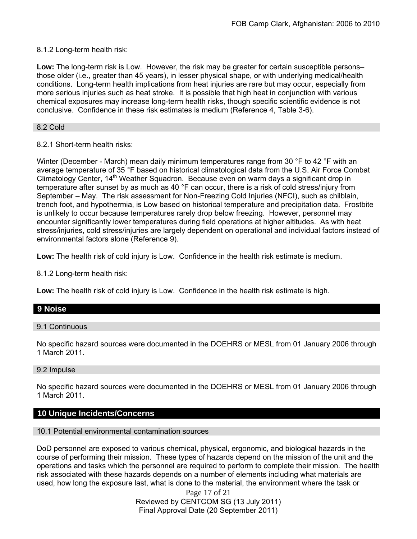## 8.1.2 Long-term health risk:

**Low:** The long-term risk is Low. However, the risk may be greater for certain susceptible persons– those older (i.e., greater than 45 years), in lesser physical shape, or with underlying medical/health conditions. Long-term health implications from heat injuries are rare but may occur, especially from more serious injuries such as heat stroke. It is possible that high heat in conjunction with various chemical exposures may increase long-term health risks, though specific scientific evidence is not conclusive. Confidence in these risk estimates is medium (Reference 4, Table 3-6).

### 8.2 Cold

8.2.1 Short-term health risks:

Winter (December - March) mean daily minimum temperatures range from 30 °F to 42 °F with an average temperature of 35 °F based on historical climatological data from the U.S. Air Force Combat Climatology Center, 14<sup>th</sup> Weather Squadron. Because even on warm days a significant drop in temperature after sunset by as much as 40 °F can occur, there is a risk of cold stress/injury from September – May. The risk assessment for Non-Freezing Cold Injuries (NFCI), such as chilblain, trench foot, and hypothermia, is Low based on historical temperature and precipitation data. Frostbite is unlikely to occur because temperatures rarely drop below freezing. However, personnel may encounter significantly lower temperatures during field operations at higher altitudes. As with heat stress/injuries, cold stress/injuries are largely dependent on operational and individual factors instead of environmental factors alone (Reference 9).

**Low:** The health risk of cold injury is Low. Confidence in the health risk estimate is medium.

8.1.2 Long-term health risk:

**Low:** The health risk of cold injury is Low. Confidence in the health risk estimate is high.

## **9 Noise**

#### 9.1 Continuous

No specific hazard sources were documented in the DOEHRS or MESL from 01 January 2006 through 1 March 2011.

#### 9.2 Impulse

No specific hazard sources were documented in the DOEHRS or MESL from 01 January 2006 through 1 March 2011.

## **10 Unique Incidents/Concerns**

#### 10.1 Potential environmental contamination sources

DoD personnel are exposed to various chemical, physical, ergonomic, and biological hazards in the course of performing their mission. These types of hazards depend on the mission of the unit and the operations and tasks which the personnel are required to perform to complete their mission. The health risk associated with these hazards depends on a number of elements including what materials are used, how long the exposure last, what is done to the material, the environment where the task or

> Page 17 of 21 Reviewed by CENTCOM SG (13 July 2011) Final Approval Date (20 September 2011)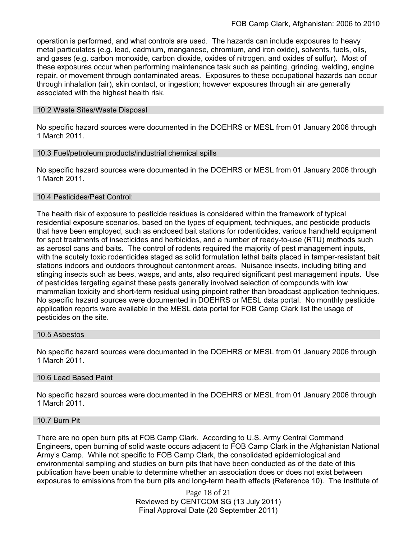operation is performed, and what controls are used. The hazards can include exposures to heavy metal particulates (e.g. lead, cadmium, manganese, chromium, and iron oxide), solvents, fuels, oils, and gases (e.g. carbon monoxide, carbon dioxide, oxides of nitrogen, and oxides of sulfur). Most of these exposures occur when performing maintenance task such as painting, grinding, welding, engine repair, or movement through contaminated areas. Exposures to these occupational hazards can occur through inhalation (air), skin contact, or ingestion; however exposures through air are generally associated with the highest health risk.

### 10.2 Waste Sites/Waste Disposal

No specific hazard sources were documented in the DOEHRS or MESL from 01 January 2006 through 1 March 2011.

## 10.3 Fuel/petroleum products/industrial chemical spills

No specific hazard sources were documented in the DOEHRS or MESL from 01 January 2006 through 1 March 2011.

## 10.4 Pesticides/Pest Control:

The health risk of exposure to pesticide residues is considered within the framework of typical residential exposure scenarios, based on the types of equipment, techniques, and pesticide products that have been employed, such as enclosed bait stations for rodenticides, various handheld equipment for spot treatments of insecticides and herbicides, and a number of ready-to-use (RTU) methods such as aerosol cans and baits. The control of rodents required the majority of pest management inputs, with the acutely toxic rodenticides staged as solid formulation lethal baits placed in tamper-resistant bait stations indoors and outdoors throughout cantonment areas. Nuisance insects, including biting and stinging insects such as bees, wasps, and ants, also required significant pest management inputs. Use of pesticides targeting against these pests generally involved selection of compounds with low mammalian toxicity and short-term residual using pinpoint rather than broadcast application techniques. No specific hazard sources were documented in DOEHRS or MESL data portal. No monthly pesticide application reports were available in the MESL data portal for FOB Camp Clark list the usage of pesticides on the site.

#### 10.5 Asbestos

No specific hazard sources were documented in the DOEHRS or MESL from 01 January 2006 through 1 March 2011.

#### 10.6 Lead Based Paint

No specific hazard sources were documented in the DOEHRS or MESL from 01 January 2006 through 1 March 2011.

#### 10.7 Burn Pit

There are no open burn pits at FOB Camp Clark. According to U.S. Army Central Command Engineers, open burning of solid waste occurs adjacent to FOB Camp Clark in the Afghanistan National Army's Camp. While not specific to FOB Camp Clark, the consolidated epidemiological and environmental sampling and studies on burn pits that have been conducted as of the date of this publication have been unable to determine whether an association does or does not exist between exposures to emissions from the burn pits and long-term health effects (Reference 10). The Institute of

> Page 18 of 21 Reviewed by CENTCOM SG (13 July 2011) Final Approval Date (20 September 2011)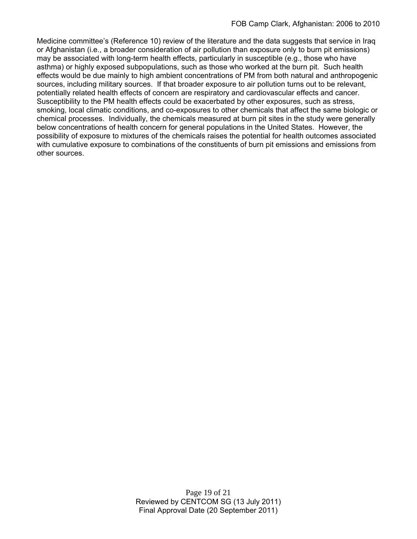Medicine committee's (Reference 10) review of the literature and the data suggests that service in Iraq or Afghanistan (i.e., a broader consideration of air pollution than exposure only to burn pit emissions) may be associated with long-term health effects, particularly in susceptible (e.g., those who have asthma) or highly exposed subpopulations, such as those who worked at the burn pit. Such health effects would be due mainly to high ambient concentrations of PM from both natural and anthropogenic sources, including military sources. If that broader exposure to air pollution turns out to be relevant, potentially related health effects of concern are respiratory and cardiovascular effects and cancer. Susceptibility to the PM health effects could be exacerbated by other exposures, such as stress, smoking, local climatic conditions, and co-exposures to other chemicals that affect the same biologic or chemical processes. Individually, the chemicals measured at burn pit sites in the study were generally below concentrations of health concern for general populations in the United States. However, the possibility of exposure to mixtures of the chemicals raises the potential for health outcomes associated with cumulative exposure to combinations of the constituents of burn pit emissions and emissions from other sources.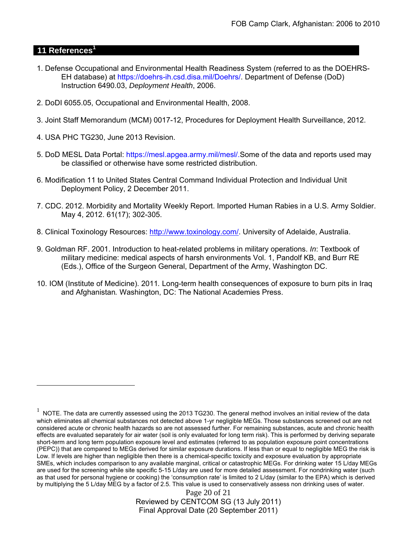## **11 References<sup>1</sup>**

 $\overline{a}$ 

- 1. Defense Occupational and Environmental Health Readiness System (referred to as the DOEHRS-EH database) at https://doehrs-ih.csd.disa.mil/Doehrs/. Department of Defense (DoD) Instruction 6490.03, *Deployment Health*, 2006.
- 2. DoDI 6055.05, Occupational and Environmental Health, 2008.
- 3. Joint Staff Memorandum (MCM) 0017-12, Procedures for Deployment Health Surveillance, 2012.
- 4. USA PHC TG230, June 2013 Revision.
- 5. DoD MESL Data Portal: https://mesl.apgea.army.mil/mesl/.Some of the data and reports used may be classified or otherwise have some restricted distribution.
- 6. Modification 11 to United States Central Command Individual Protection and Individual Unit Deployment Policy, 2 December 2011.
- 7. CDC. 2012. Morbidity and Mortality Weekly Report. Imported Human Rabies in a U.S. Army Soldier. May 4, 2012. 61(17); 302-305.
- 8. Clinical Toxinology Resources: http://www.toxinology.com/. University of Adelaide, Australia.
- 9. Goldman RF. 2001. Introduction to heat-related problems in military operations. *In*: Textbook of military medicine: medical aspects of harsh environments Vol. 1, Pandolf KB, and Burr RE (Eds.), Office of the Surgeon General, Department of the Army, Washington DC.
- 10. IOM (Institute of Medicine). 2011*.* Long-term health consequences of exposure to burn pits in Iraq and Afghanistan*.* Washington, DC: The National Academies Press.

Page 20 of 21 Reviewed by CENTCOM SG (13 July 2011) Final Approval Date (20 September 2011)

 $1$  NOTE. The data are currently assessed using the 2013 TG230. The general method involves an initial review of the data which eliminates all chemical substances not detected above 1-yr negligible MEGs. Those substances screened out are not considered acute or chronic health hazards so are not assessed further. For remaining substances, acute and chronic health effects are evaluated separately for air water (soil is only evaluated for long term risk). This is performed by deriving separate short-term and long term population exposure level and estimates (referred to as population exposure point concentrations (PEPC)) that are compared to MEGs derived for similar exposure durations. If less than or equal to negligible MEG the risk is Low. If levels are higher than negligible then there is a chemical-specific toxicity and exposure evaluation by appropriate SMEs, which includes comparison to any available marginal, critical or catastrophic MEGs. For drinking water 15 L/day MEGs are used for the screening while site specific 5-15 L/day are used for more detailed assessment. For nondrinking water (such as that used for personal hygiene or cooking) the 'consumption rate' is limited to 2 L/day (similar to the EPA) which is derived by multiplying the 5 L/day MEG by a factor of 2.5. This value is used to conservatively assess non drinking uses of water.